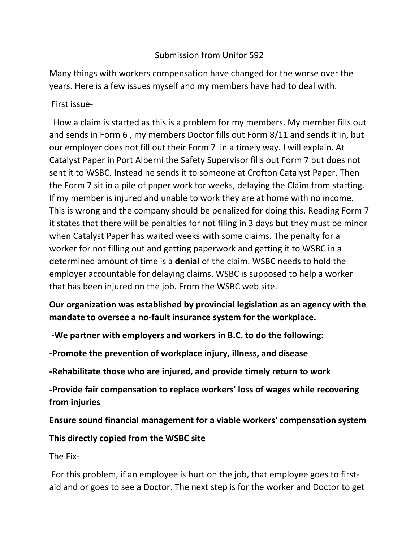## Submission from Unifor 592

Many things with workers compensation have changed for the worse over the years. Here is a few issues myself and my members have had to deal with.

First issue-

 How a claim is started as this is a problem for my members. My member fills out and sends in Form 6 , my members Doctor fills out Form 8/11 and sends it in, but our employer does not fill out their Form 7 in a timely way. I will explain. At Catalyst Paper in Port Alberni the Safety Supervisor fills out Form 7 but does not sent it to WSBC. Instead he sends it to someone at Crofton Catalyst Paper. Then the Form 7 sit in a pile of paper work for weeks, delaying the Claim from starting. If my member is injured and unable to work they are at home with no income. This is wrong and the company should be penalized for doing this. Reading Form 7 it states that there will be penalties for not filing in 3 days but they must be minor when Catalyst Paper has waited weeks with some claims. The penalty for a worker for not filling out and getting paperwork and getting it to WSBC in a determined amount of time is a **denial** of the claim. WSBC needs to hold the employer accountable for delaying claims. WSBC is supposed to help a worker that has been injured on the job. From the WSBC web site.

**Our organization was established by provincial legislation as an agency with the mandate to oversee a no-fault insurance system for the workplace.**

**-We partner with employers and workers in B.C. to do the following:**

**-Promote the prevention of workplace injury, illness, and disease**

**-Rehabilitate those who are injured, and provide timely return to work**

**-Provide fair compensation to replace workers' loss of wages while recovering from injuries**

**Ensure sound financial management for a viable workers' compensation system**

**This directly copied from the WSBC site**

The Fix-

For this problem, if an employee is hurt on the job, that employee goes to firstaid and or goes to see a Doctor. The next step is for the worker and Doctor to get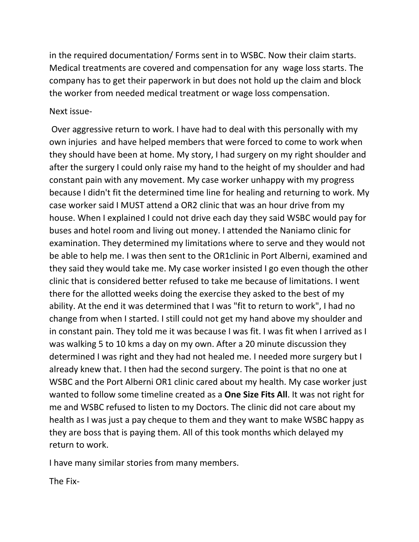in the required documentation/ Forms sent in to WSBC. Now their claim starts. Medical treatments are covered and compensation for any wage loss starts. The company has to get their paperwork in but does not hold up the claim and block the worker from needed medical treatment or wage loss compensation.

## Next issue-

Over aggressive return to work. I have had to deal with this personally with my own injuries and have helped members that were forced to come to work when they should have been at home. My story, I had surgery on my right shoulder and after the surgery I could only raise my hand to the height of my shoulder and had constant pain with any movement. My case worker unhappy with my progress because I didn't fit the determined time line for healing and returning to work. My case worker said I MUST attend a OR2 clinic that was an hour drive from my house. When I explained I could not drive each day they said WSBC would pay for buses and hotel room and living out money. I attended the Naniamo clinic for examination. They determined my limitations where to serve and they would not be able to help me. I was then sent to the OR1clinic in Port Alberni, examined and they said they would take me. My case worker insisted I go even though the other clinic that is considered better refused to take me because of limitations. I went there for the allotted weeks doing the exercise they asked to the best of my ability. At the end it was determined that I was "fit to return to work", I had no change from when I started. I still could not get my hand above my shoulder and in constant pain. They told me it was because I was fit. I was fit when I arrived as I was walking 5 to 10 kms a day on my own. After a 20 minute discussion they determined I was right and they had not healed me. I needed more surgery but I already knew that. I then had the second surgery. The point is that no one at WSBC and the Port Alberni OR1 clinic cared about my health. My case worker just wanted to follow some timeline created as a **One Size Fits All**. It was not right for me and WSBC refused to listen to my Doctors. The clinic did not care about my health as I was just a pay cheque to them and they want to make WSBC happy as they are boss that is paying them. All of this took months which delayed my return to work.

I have many similar stories from many members.

The Fix-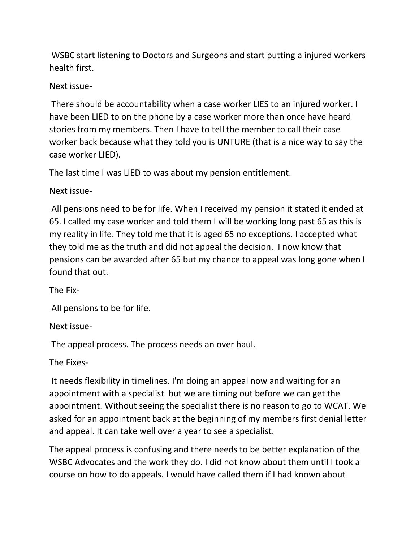WSBC start listening to Doctors and Surgeons and start putting a injured workers health first.

## Next issue-

There should be accountability when a case worker LIES to an injured worker. I have been LIED to on the phone by a case worker more than once have heard stories from my members. Then I have to tell the member to call their case worker back because what they told you is UNTURE (that is a nice way to say the case worker LIED).

The last time I was LIED to was about my pension entitlement.

Next issue-

All pensions need to be for life. When I received my pension it stated it ended at 65. I called my case worker and told them I will be working long past 65 as this is my reality in life. They told me that it is aged 65 no exceptions. I accepted what they told me as the truth and did not appeal the decision. I now know that pensions can be awarded after 65 but my chance to appeal was long gone when I found that out.

The Fix-

All pensions to be for life.

Next issue-

The appeal process. The process needs an over haul.

The Fixes-

It needs flexibility in timelines. I'm doing an appeal now and waiting for an appointment with a specialist but we are timing out before we can get the appointment. Without seeing the specialist there is no reason to go to WCAT. We asked for an appointment back at the beginning of my members first denial letter and appeal. It can take well over a year to see a specialist.

The appeal process is confusing and there needs to be better explanation of the WSBC Advocates and the work they do. I did not know about them until I took a course on how to do appeals. I would have called them if I had known about